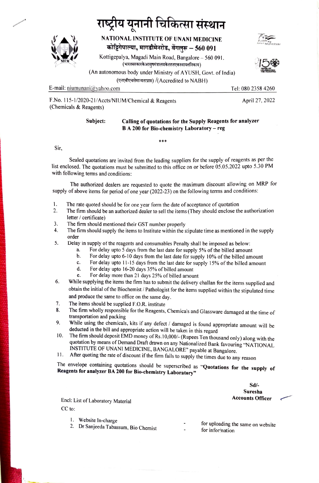## य यूनानी चिकित्सा संस्थान



NATIONAL INSTITUTE OF UNANI MEDICINE कोट्टिगेपाल्या, मागडीमेनरोड, बेंगलुरू - 560 091

Kottigepalya, Magadi Main Road, Bangalore - 560 091.<br>(भारतसरकारकेआयुषमंत्रालयकेतहतएकस्वायत्तनिकाय)

(An autonomous body under Ministry of AYUSH, Govt. of India) (एनएबीएचसेमान्यताप्राप्त) /(Accredited to NABH)

E-mail:  $\frac{\text{minum}(\partial y \text{ a} \text{hoo.com})}{\text{E}}$ 



F.No. 115-1/2020-21/Accts/NIUM/Chemical & Reagents April 27, 2022 (Chemicals & Reagents)

## Subject: Calling of quotations for the Supply Reagents for analyzer B A 200 for Bio-chemistry Laboratory - reg

Sir,

Sealed quotations are invited from the leading suppliers for the supply of reagents as per the list enclosed. The quotations must be submitted to this office on or before 05.05.2022 upto 5.30 PM with following terms and conditions:

\*\*\*

The authorized dealers are requested to quote the maximum discount allowing on MRP for supply of above items for period of one year (2022-23) on the following terms and conditions:

- 1. The rate quoted should be for one year form the date of acceptance of quotation
- 2. The firm should be an authorized dealer to sell the items (They should enclose the authorization letter / certificate)
- The fim should mentioned their GST number properly 3.
- 4. The firm should supply the items to Institute within the stipulate time as mentioned in the supply order
- 5. Delay in supply of the reagents and consumables Penalty shall be imposed as below:
	- For delay upto 5 days from the last date for supply 5% of the billed amount a.
	- For delay upto 6-10 days from the last date for supply 10% of the billed amount b.
	- For delay upto 11-15 days from the last date for supply 15% of the billed amount C.
	- For delay upto 16-20 days 35% of billed amount d. e.
- For delay more than 21 days 25% of billed amount While supplying the items the firm has to submit the delivery challan for the items supplied and obtain the initial of the Biochemist/Pathologist for the items supplied within the stipulated time and produce the same to office on the same day. 6.
- The items should be supplied F.O.R. institute 1.
- The firm wholly responsible for the Reagents, Chemicals and Glassware damaged at the time of transportation and packing 8.
- While using the chemicals, kits if any defect / damaged is found appropriate amount will be deducted in the bill and appropriate action will be taken in this regard 9.
- The firm should deposit EMD money of Rs.10,000/- (Rupees Ten thousand only) along with the quotation by means of Demand Draft drawn on any Nationalized Bank favouring "NATIONAL INSTITUTE OF UNANI MEDICINE, BANGALORE" payab 10.
- II. After quoting the rate of discount if the firm fails to supply the times due to any reason

The envelope containing quotations should be superscribed as "Quotations for the supply of Reagents for analyzer BA 200 for Bio-chemistry Laboratory"

Sd/- Suresha

Encl: List of Laboratory Material **Accounts Officer** 

CC to:

- I. Website In-charge
- 2. Dr Sanjeeda Tabassum, Bio Chemist
- for uploading the same on website
	- for information